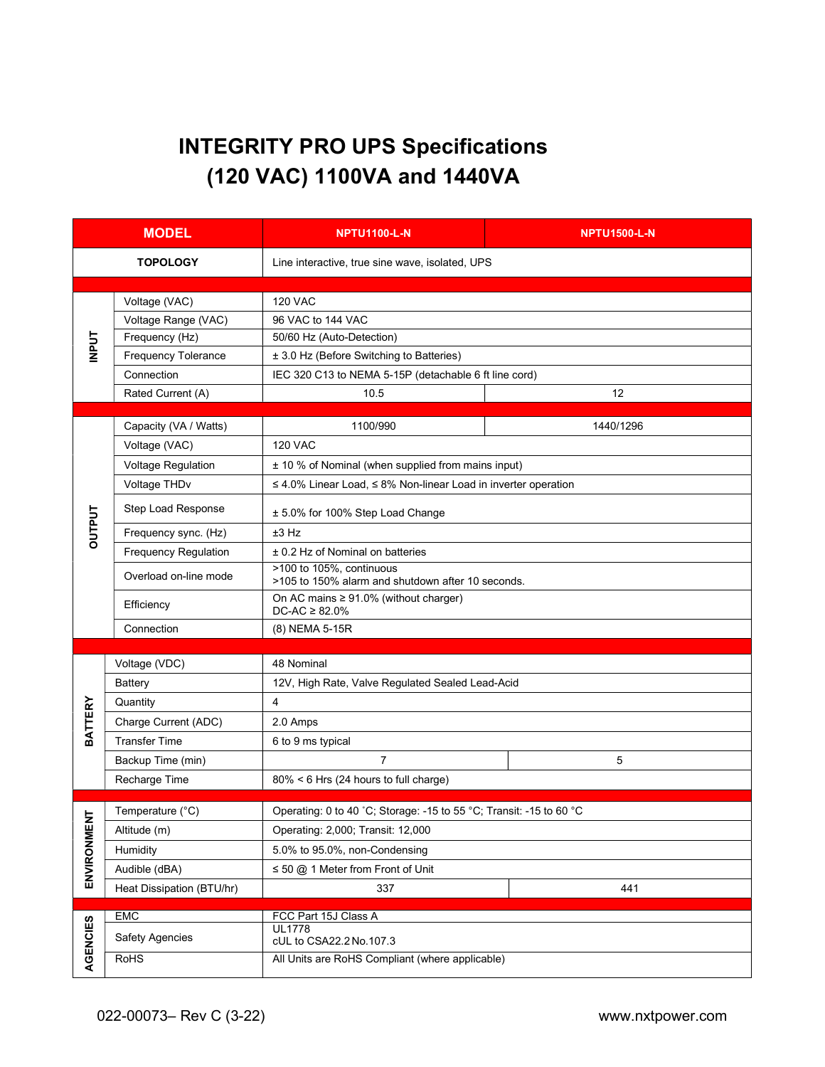# INTEGRITY PRO UPS Specifications (120 VAC) 1100VA and 1440VA

| <b>MODEL</b>    |                           | <b>NPTU1100-L-N</b>                                                           | <b>NPTU1500-L-N</b> |  |  |  |
|-----------------|---------------------------|-------------------------------------------------------------------------------|---------------------|--|--|--|
| <b>TOPOLOGY</b> |                           | Line interactive, true sine wave, isolated, UPS                               |                     |  |  |  |
|                 |                           |                                                                               |                     |  |  |  |
| <b>INPUT</b>    | Voltage (VAC)             | <b>120 VAC</b>                                                                |                     |  |  |  |
|                 | Voltage Range (VAC)       | 96 VAC to 144 VAC                                                             |                     |  |  |  |
|                 | Frequency (Hz)            | 50/60 Hz (Auto-Detection)                                                     |                     |  |  |  |
|                 | Frequency Tolerance       | ± 3.0 Hz (Before Switching to Batteries)                                      |                     |  |  |  |
|                 | Connection                | IEC 320 C13 to NEMA 5-15P (detachable 6 ft line cord)                         |                     |  |  |  |
|                 | Rated Current (A)         | 10.5                                                                          | 12                  |  |  |  |
| <b>OUTPUT</b>   | Capacity (VA / Watts)     | 1100/990                                                                      | 1440/1296           |  |  |  |
|                 | Voltage (VAC)             | <b>120 VAC</b>                                                                |                     |  |  |  |
|                 | Voltage Regulation        | ± 10 % of Nominal (when supplied from mains input)                            |                     |  |  |  |
|                 | Voltage THDv              | $\leq$ 4.0% Linear Load, $\leq$ 8% Non-linear Load in inverter operation      |                     |  |  |  |
|                 | Step Load Response        | ± 5.0% for 100% Step Load Change                                              |                     |  |  |  |
|                 | Frequency sync. (Hz)      | $±3$ Hz                                                                       |                     |  |  |  |
|                 | Frequency Regulation      | ± 0.2 Hz of Nominal on batteries                                              |                     |  |  |  |
|                 | Overload on-line mode     | >100 to 105%, continuous<br>>105 to 150% alarm and shutdown after 10 seconds. |                     |  |  |  |
|                 | Efficiency                | On AC mains $\geq 91.0\%$ (without charger)<br>$DC-AC \geq 82.0\%$            |                     |  |  |  |
|                 | Connection                | (8) NEMA 5-15R                                                                |                     |  |  |  |
|                 |                           |                                                                               |                     |  |  |  |
|                 | Voltage (VDC)             | 48 Nominal                                                                    |                     |  |  |  |
|                 | Battery                   | 12V, High Rate, Valve Regulated Sealed Lead-Acid                              |                     |  |  |  |
| <b>BATTERY</b>  | Quantity                  | $\overline{4}$                                                                |                     |  |  |  |
|                 | Charge Current (ADC)      | 2.0 Amps                                                                      |                     |  |  |  |
|                 | <b>Transfer Time</b>      | 6 to 9 ms typical                                                             |                     |  |  |  |
|                 | Backup Time (min)         | $\overline{7}$                                                                | 5                   |  |  |  |
|                 | Recharge Time             | 80% < 6 Hrs (24 hours to full charge)                                         |                     |  |  |  |
|                 | Temperature (°C)          | Operating: 0 to 40 °C; Storage: -15 to 55 °C; Transit: -15 to 60 °C           |                     |  |  |  |
| ち               | Altitude (m)              | Operating: 2,000; Transit: 12,000                                             |                     |  |  |  |
|                 | Humidity                  | 5.0% to 95.0%, non-Condensing                                                 |                     |  |  |  |
| ENVIRONMEI      | Audible (dBA)             | $\leq$ 50 @ 1 Meter from Front of Unit                                        |                     |  |  |  |
|                 | Heat Dissipation (BTU/hr) | 337<br>441                                                                    |                     |  |  |  |
|                 |                           |                                                                               |                     |  |  |  |
|                 | EMC                       | FCC Part 15J Class A                                                          |                     |  |  |  |
|                 | <b>Safety Agencies</b>    | <b>UL1778</b><br>cUL to CSA22.2 No.107.3                                      |                     |  |  |  |
| AGENCIES        | <b>RoHS</b>               | All Units are RoHS Compliant (where applicable)                               |                     |  |  |  |